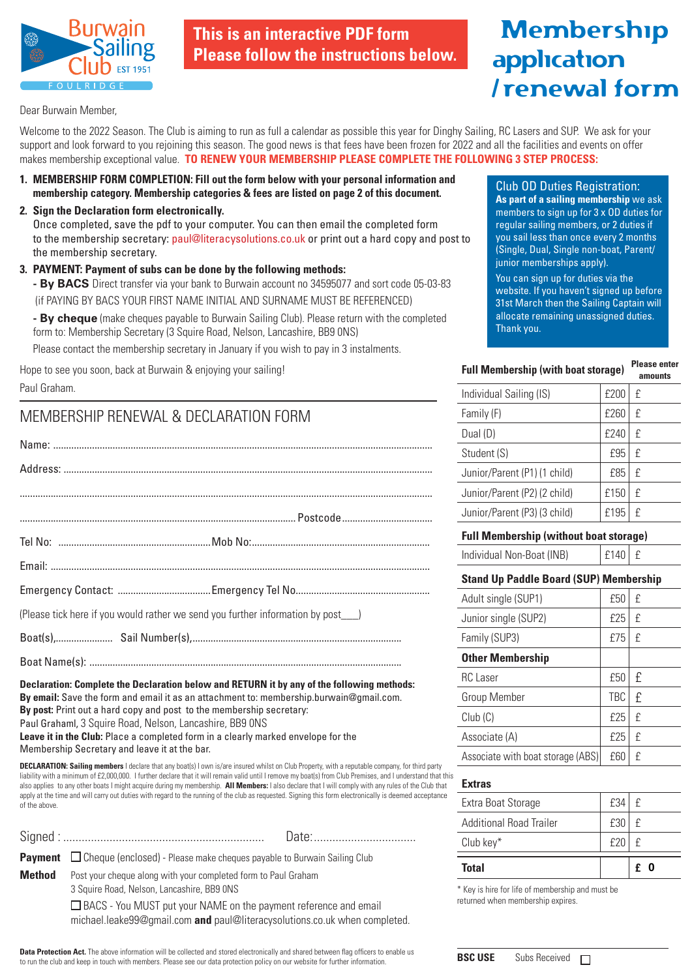

**This is an interactive PDF form Please follow the instructions below.**

# Membership application / renewal form

Dear Burwain Member,

Welcome to the 2022 Season. The Club is aiming to run as full a calendar as possible this year for Dinghy Sailing, RC Lasers and SUP. We ask for your support and look forward to you rejoining this season. The good news is that fees have been frozen for 2022 and all the facilities and events on offer makes membership exceptional value. **TO RENEW YOUR MEMBERSHIP PLEASE COMPLETE THE FOLLOWING 3 STEP PROCESS:**

- **1. MEMBERSHIP FORM COMPLETION: Fill out the form below with your personal information and membership category. Membership categories & fees are listed on page 2 of this document.**
- **2. Sign the Declaration form electronically.**

Once completed, save the pdf to your computer. You can then email the completed form to the membership secretary: paul@literacysolutions.co.uk or print out a hard copy and post to the membership secretary.

**3. PAYMENT: Payment of subs can be done by the following methods: - By BACS** Direct transfer via your bank to Burwain account no 34595077 and sort code 05-03-83 (if PAYING BY BACS YOUR FIRST NAME INITIAL AND SURNAME MUST BE REFERENCED)

 **- By cheque** (make cheques payable to Burwain Sailing Club). Please return with the completed form to: Membership Secretary (3 Squire Road, Nelson, Lancashire, BB9 0NS)

Please contact the membership secretary in January if you wish to pay in 3 instalments.

Hope to see you soon, back at Burwain & enjoying your sailing!

Paul Graham.

## MEMBERSHIP RENEWAL & DECLARATION FORM

| (Please tick here if you would rather we send you further information by post |  |
|-------------------------------------------------------------------------------|--|
|                                                                               |  |
|                                                                               |  |

**Declaration: Complete the Declaration below and RETURN it by any of the following methods: By email:** Save the form and email it as an attachment to: membership.burwain@gmail.com. **By post:** Print out a hard copy and post to the membership secretary: Paul Grahaml, 3 Squire Road, Nelson, Lancashire, BB9 0NS **Leave it in the Club:** Place a completed form in a clearly marked envelope for the Membership Secretary and leave it at the bar.

**DECLARATION: Sailing members** I declare that any boat(s) I own is/are insured whilst on Club Property, with a reputable company, for third party liability with a minimum of £2,000,000. I further declare that it will remain valid until I remove my boat(s) from Club Premises, and I understand that this also applies to any other boats I might acquire during my membership. **All Members:** I also declare that I will comply with any rules of the Club that apply at the time and will carry out duties with regard to the running of the club as requested. Signing this form electronically is deemed acceptance of the above.

|        | <b>Payment</b> $\Box$ Cheque (enclosed) - Please make cheques payable to Burwain Sailing Club                                                         |
|--------|-------------------------------------------------------------------------------------------------------------------------------------------------------|
| Method | Post your cheque along with your completed form to Paul Graham<br>3 Squire Road, Nelson, Lancashire, BB9 ONS                                          |
|        | $\Box$ BACS - You MUST put your NAME on the payment reference and email<br>michael.leake99@gmail.com and paul@literacysolutions.co.uk when completed. |

**Data Protection Act.** The above information will be collected and stored electronically and shared between flag officers to enable us to run the club and keep in touch with members. Please see our data protection policy on our website for further information.

Club OD Duties Registration: **As part of a sailing membership** we ask members to sign up for 3 x OD duties for regular sailing members, or 2 duties if you sail less than once every 2 months (Single, Dual, Single non-boat, Parent/ junior memberships apply).

You can sign up for duties via the website. If you haven't signed up before 31st March then the Sailing Captain will allocate remaining unassigned duties. Thank you.

| <b>Full Membership (with boat storage)</b> | <b>Please enter</b><br>amounts |   |
|--------------------------------------------|--------------------------------|---|
| Individual Sailing (IS)                    | £200                           | f |
| Family (F)                                 | £260                           | £ |
| Dual (D)                                   | £240                           | £ |
| Student (S)                                | £95                            | £ |
| Junior/Parent (P1) (1 child)               | £85                            | £ |
| Junior/Parent (P2) (2 child)               | £150                           | £ |
| Junior/Parent (P3) (3 child)               | £195                           | £ |
|                                            |                                |   |

| <b>Full Membership (without boat storage)</b> |  |  |
|-----------------------------------------------|--|--|
|                                               |  |  |

Individual Non-Boat (INB)  $\left| \begin{array}{c} | \\ | \end{array} \right|$  f 140  $\left| \begin{array}{c} | \\ | \end{array} \right|$ 

#### **Stand Up Paddle Board (SUP) Membership**

| Adult single (SUP1)               | £50        | £ |
|-----------------------------------|------------|---|
| Junior single (SUP2)              | £25        | £ |
| Family (SUP3)                     | £75        | £ |
| <b>Other Membership</b>           |            |   |
| <b>RC</b> Laser                   | £50        | £ |
| <b>Group Member</b>               | <b>TBC</b> | £ |
| Club(C)                           | £25        | f |
| Associate (A)                     | £25        | £ |
| Associate with boat storage (ABS) | £60        | f |

#### **Extras**

| <b>Total</b>            |     | f.<br>-0 |
|-------------------------|-----|----------|
| Club key*               | f20 | f        |
| Additional Road Trailer | £30 | f        |
| Extra Boat Storage      | £34 | f        |

\* Key is hire for life of membership and must be returned when membership expires.